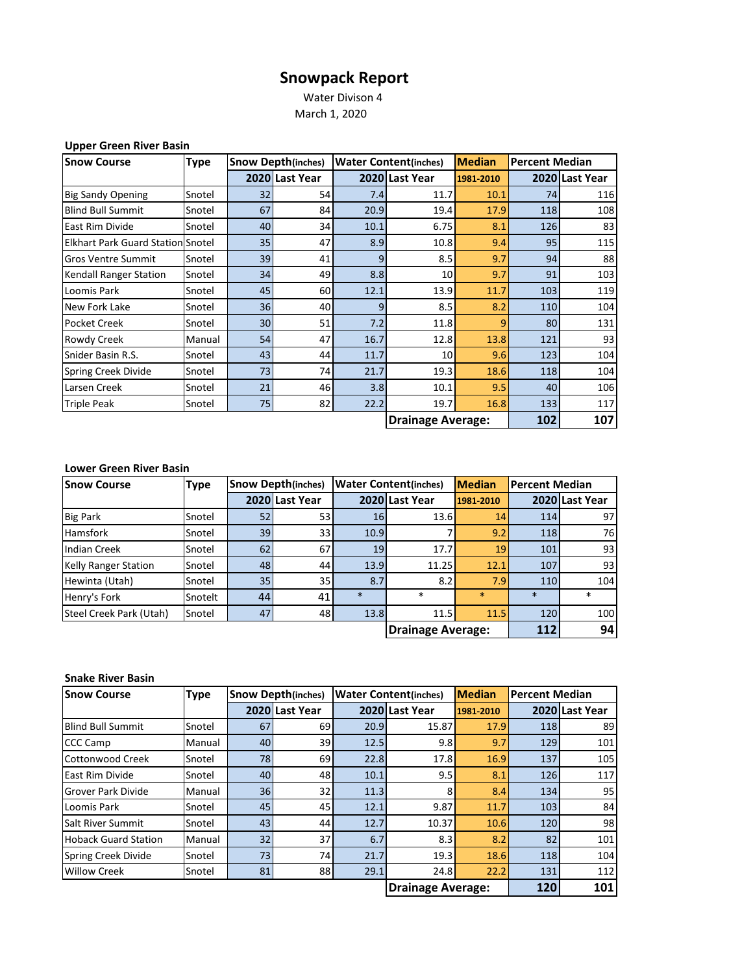## **Snowpack Report**

 Water Divison 4 March 1, 2020

| <b>Upper Green River Basin</b> |  |  |  |
|--------------------------------|--|--|--|
|--------------------------------|--|--|--|

| <b>Snow Course</b>                       | <b>Type</b> | <b>Snow Depth(inches)</b> |                | <b>Water Content(inches)</b><br><b>Median</b> |                          | <b>Percent Median</b> |     |                |
|------------------------------------------|-------------|---------------------------|----------------|-----------------------------------------------|--------------------------|-----------------------|-----|----------------|
|                                          |             |                           | 2020 Last Year |                                               | 2020 Last Year           | 1981-2010             |     | 2020 Last Year |
| <b>Big Sandy Opening</b>                 | Snotel      | 32                        | 54             | 7.4                                           | 11.7                     | 10.1                  | 74  | 116            |
| <b>Blind Bull Summit</b>                 | Snotel      | 67                        | 84             | 20.9                                          | 19.4                     | 17.9                  | 118 | 108            |
| <b>East Rim Divide</b>                   | Snotel      | 40                        | 34             | 10.1                                          | 6.75                     | 8.1                   | 126 | 83             |
| <b>Elkhart Park Guard Station Snotel</b> |             | 35                        | 47             | 8.9                                           | 10.8                     | 9.4                   | 95  | 115            |
| <b>Gros Ventre Summit</b>                | Snotel      | 39                        | 41             | 9                                             | 8.5                      | 9.7                   | 94  | 88             |
| Kendall Ranger Station                   | Snotel      | 34                        | 49             | 8.8                                           | 10                       | 9.7                   | 91  | 103            |
| Loomis Park                              | Snotel      | 45                        | 60             | 12.1                                          | 13.9                     | 11.7                  | 103 | 119            |
| New Fork Lake                            | Snotel      | 36                        | 40             | q                                             | 8.5                      | 8.2                   | 110 | 104            |
| <b>Pocket Creek</b>                      | Snotel      | 30 <sup>1</sup>           | 51             | 7.2                                           | 11.8                     | q                     | 80  | 131            |
| Rowdy Creek                              | Manual      | 54                        | 47             | 16.7                                          | 12.8                     | 13.8                  | 121 | 93             |
| Snider Basin R.S.                        | Snotel      | 43                        | 44             | 11.7                                          | 10                       | 9.6                   | 123 | 104            |
| <b>Spring Creek Divide</b>               | Snotel      | 73                        | 74             | 21.7                                          | 19.3                     | 18.6                  | 118 | 104            |
| Larsen Creek                             | Snotel      | 21                        | 46             | 3.8                                           | 10.1                     | 9.5                   | 40  | 106            |
| <b>Triple Peak</b>                       | Snotel      | 75                        | 82             | 22.2                                          | 19.7                     | 16.8                  | 133 | 117            |
|                                          |             |                           |                |                                               | <b>Drainage Average:</b> |                       | 102 | 107            |

## **Lower Green River Basin**

| <b>Snow Course</b>          | <b>Type</b> | <b>Snow Depth(inches)</b> |                | <b>Water Content(inches)</b> | <b>Median</b>  | <b>Percent Median</b> |        |                |
|-----------------------------|-------------|---------------------------|----------------|------------------------------|----------------|-----------------------|--------|----------------|
|                             |             |                           | 2020 Last Year |                              | 2020 Last Year | 1981-2010             |        | 2020 Last Year |
| <b>Big Park</b>             | Snotel      | 52                        | 53             | 16                           | 13.6           | 14                    | 114    | 97             |
| <b>Hamsfork</b>             | Snotel      | 39                        | 33             | 10.9                         |                | 9.2                   | 118    | 76             |
| <b>Indian Creek</b>         | Snotel      | 62                        | 67             | 19                           | 17.7           | 19                    | 101    | 93             |
| <b>Kelly Ranger Station</b> | Snotel      | 48                        | 44             | 13.9                         | 11.25          | 12.1                  | 107    | 93             |
| Hewinta (Utah)              | Snotel      | 35                        | 35             | 8.7                          | 8.2            | 7.9                   | 110    | 104            |
| Henry's Fork                | Snotelt     | 44                        | 41             | $\ast$                       | $\ast$         | $\ast$                | $\ast$ | $\ast$         |
| Steel Creek Park (Utah)     | Snotel      | 47                        | 48             | 13.8                         | 11.5           | 11.5                  | 120    | 100            |
|                             |             |                           |                | <b>Drainage Average:</b>     |                | 112                   | 94     |                |

## **Snake River Basin**

| <b>Snow Course</b>          | <b>Type</b> |    | <b>Snow Depth(inches)</b> | <b>Water Content(inches)</b> |                          | <b>Median</b><br><b>Percent Median</b> |     |                |
|-----------------------------|-------------|----|---------------------------|------------------------------|--------------------------|----------------------------------------|-----|----------------|
|                             |             |    | 2020 Last Year            |                              | 2020 Last Year           | 1981-2010                              |     | 2020 Last Year |
| <b>Blind Bull Summit</b>    | Snotel      | 67 | 69                        | 20.9                         | 15.87                    | 17.9                                   | 118 | 89             |
| <b>CCC Camp</b>             | Manual      | 40 | 39                        | 12.5                         | 9.8                      | 9.7                                    | 129 | 101            |
| Cottonwood Creek            | Snotel      | 78 | 69                        | 22.8                         | 17.8                     | 16.9                                   | 137 | 105            |
| East Rim Divide             | Snotel      | 40 | 48                        | 10.1                         | 9.5                      | 8.1                                    | 126 | 117            |
| <b>Grover Park Divide</b>   | Manual      | 36 | 32                        | 11.3                         | 8                        | 8.4                                    | 134 | 95             |
| Loomis Park                 | Snotel      | 45 | 45                        | 12.1                         | 9.87                     | 11.7                                   | 103 | 84             |
| <b>Salt River Summit</b>    | Snotel      | 43 | 44                        | 12.7                         | 10.37                    | 10.6                                   | 120 | 98             |
| <b>Hoback Guard Station</b> | Manual      | 32 | 37                        | 6.7                          | 8.3                      | 8.2                                    | 82  | 101            |
| Spring Creek Divide         | Snotel      | 73 | 74                        | 21.7                         | 19.3                     | 18.6                                   | 118 | 104            |
| <b>Willow Creek</b>         | Snotel      | 81 | 88                        | 29.1                         | 24.8                     | 22.2                                   | 131 | 112            |
|                             |             |    |                           |                              | <b>Drainage Average:</b> |                                        | 120 | 101            |